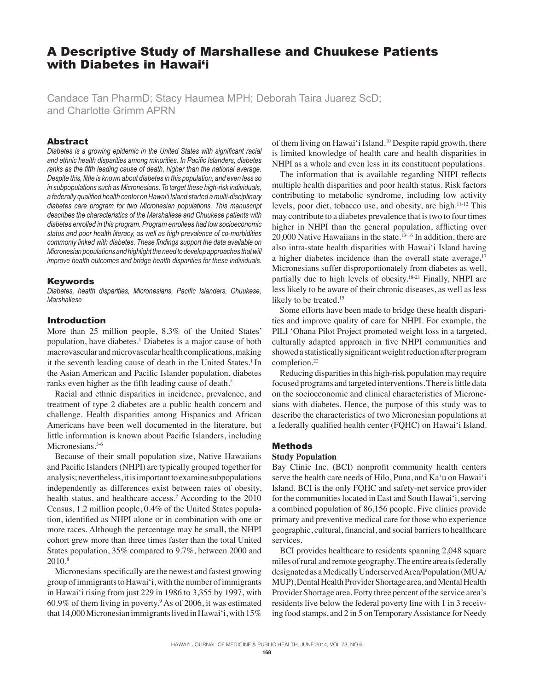# A Descriptive Study of Marshallese and Chuukese Patients with Diabetes in Hawai'i

Candace Tan PharmD; Stacy Haumea MPH; Deborah Taira Juarez ScD; and Charlotte Grimm APRN

### Abstract

*Diabetes is a growing epidemic in the United States with significant racial and ethnic health disparities among minorities. In Pacific Islanders, diabetes ranks as the fifth leading cause of death, higher than the national average. Despite this, little is known about diabetes in this population, and even less so in subpopulations such as Micronesians. To target these high-risk individuals, a federally qualified health center on Hawai'i Island started a multi-disciplinary diabetes care program for two Micronesian populations. This manuscript describes the characteristics of the Marshallese and Chuukese patients with diabetes enrolled in this program. Program enrollees had low socioeconomic status and poor health literacy, as well as high prevalence of co-morbidities commonly linked with diabetes. These findings support the data available on Micronesian populations and highlight the need to develop approaches that will improve health outcomes and bridge health disparities for these individuals.*

#### **Keywords**

*Diabetes, health disparities, Micronesians, Pacific Islanders, Chuukese, Marshallese*

## Introduction

More than 25 million people, 8.3% of the United States' population, have diabetes.<sup>1</sup> Diabetes is a major cause of both macrovascular and microvascular health complications, making it the seventh leading cause of death in the United States.<sup>1</sup> In the Asian American and Pacific Islander population, diabetes ranks even higher as the fifth leading cause of death.<sup>2</sup>

Racial and ethnic disparities in incidence, prevalence, and treatment of type 2 diabetes are a public health concern and challenge. Health disparities among Hispanics and African Americans have been well documented in the literature, but little information is known about Pacific Islanders, including Micronesians.<sup>3-6</sup>

Because of their small population size, Native Hawaiians and Pacific Islanders (NHPI) are typically grouped together for analysis; nevertheless, it is important to examine subpopulations independently as differences exist between rates of obesity, health status, and healthcare access.<sup>7</sup> According to the 2010 Census, 1.2 million people, 0.4% of the United States population, identified as NHPI alone or in combination with one or more races. Although the percentage may be small, the NHPI cohort grew more than three times faster than the total United States population, 35% compared to 9.7%, between 2000 and 2010.<sup>8</sup>

Micronesians specifically are the newest and fastest growing group of immigrants to Hawai'i, with the number of immigrants in Hawai'i rising from just 229 in 1986 to 3,355 by 1997, with 60.9% of them living in poverty.9 As of 2006, it was estimated that 14,000 Micronesian immigrants lived in Hawai'i, with 15%

of them living on Hawai'i Island.10 Despite rapid growth, there is limited knowledge of health care and health disparities in NHPI as a whole and even less in its constituent populations.

The information that is available regarding NHPI reflects multiple health disparities and poor health status. Risk factors contributing to metabolic syndrome, including low activity levels, poor diet, tobacco use, and obesity, are high.11-12 This may contribute to a diabetes prevalence that is two to four times higher in NHPI than the general population, afflicting over 20,000 Native Hawaiians in the state.<sup>13-16</sup> In addition, there are also intra-state health disparities with Hawai'i Island having a higher diabetes incidence than the overall state average**.** 17 Micronesians suffer disproportionately from diabetes as well, partially due to high levels of obesity.18-21 Finally, NHPI are less likely to be aware of their chronic diseases, as well as less likely to be treated.<sup>15</sup>

Some efforts have been made to bridge these health disparities and improve quality of care for NHPI. For example, the PILI 'Ohana Pilot Project promoted weight loss in a targeted, culturally adapted approach in five NHPI communities and showed a statistically significant weight reduction after program completion.<sup>22</sup>

Reducing disparities in this high-risk population may require focused programs and targeted interventions. There is little data on the socioeconomic and clinical characteristics of Micronesians with diabetes. Hence, the purpose of this study was to describe the characteristics of two Micronesian populations at a federally qualified health center (FQHC) on Hawai'i Island.

## Methods

#### **Study Population**

Bay Clinic Inc. (BCI) nonprofit community health centers serve the health care needs of Hilo, Puna, and Ka'u on Hawai'i Island. BCI is the only FQHC and safety-net service provider for the communities located in East and South Hawai'i, serving a combined population of 86,156 people. Five clinics provide primary and preventive medical care for those who experience geographic, cultural, financial, and social barriers to healthcare services.

BCI provides healthcare to residents spanning 2,048 square miles of rural and remote geography. The entire area is federally designated as a Medically Underserved Area/Population (MUA/ MUP), Dental Health Provider Shortage area, and Mental Health Provider Shortage area. Forty three percent of the service area's residents live below the federal poverty line with 1 in 3 receiving food stamps, and 2 in 5 on Temporary Assistance for Needy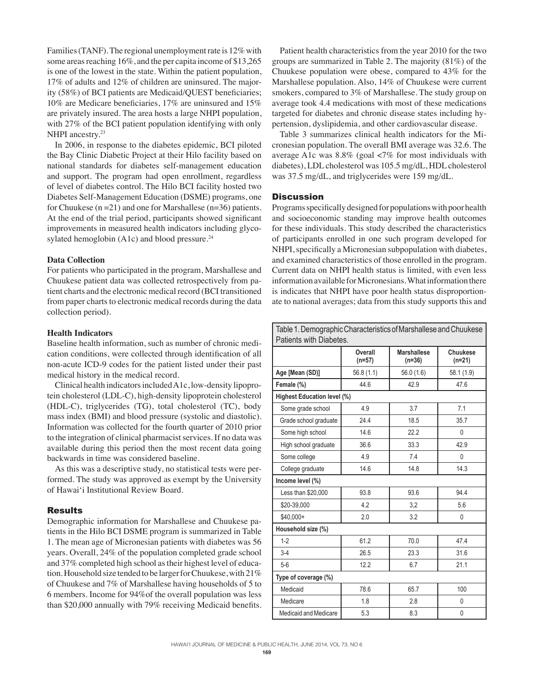Families (TANF). The regional unemployment rate is 12% with some areas reaching 16%, and the per capita income of \$13,265 is one of the lowest in the state. Within the patient population, 17% of adults and 12% of children are uninsured. The majority (58%) of BCI patients are Medicaid/QUEST beneficiaries; 10% are Medicare beneficiaries, 17% are uninsured and 15% are privately insured. The area hosts a large NHPI population, with 27% of the BCI patient population identifying with only NHPI ancestry.<sup>23</sup>

In 2006, in response to the diabetes epidemic, BCI piloted the Bay Clinic Diabetic Project at their Hilo facility based on national standards for diabetes self-management education and support. The program had open enrollment, regardless of level of diabetes control. The Hilo BCI facility hosted two Diabetes Self-Management Education (DSME) programs, one for Chuukese ( $n = 21$ ) and one for Marshallese ( $n = 36$ ) patients. At the end of the trial period, participants showed significant improvements in measured health indicators including glycosylated hemoglobin (A1c) and blood pressure.<sup>24</sup>

### **Data Collection**

For patients who participated in the program, Marshallese and Chuukese patient data was collected retrospectively from patient charts and the electronic medical record (BCI transitioned from paper charts to electronic medical records during the data collection period).

### **Health Indicators**

Baseline health information, such as number of chronic medication conditions, were collected through identification of all non-acute ICD-9 codes for the patient listed under their past medical history in the medical record.

Clinical health indicators included A1c, low-density lipoprotein cholesterol (LDL-C), high-density lipoprotein cholesterol (HDL-C), triglycerides (TG), total cholesterol (TC), body mass index (BMI) and blood pressure (systolic and diastolic). Information was collected for the fourth quarter of 2010 prior to the integration of clinical pharmacist services. If no data was available during this period then the most recent data going backwards in time was considered baseline.

As this was a descriptive study, no statistical tests were performed. The study was approved as exempt by the University of Hawai'i Institutional Review Board.

### Results

Demographic information for Marshallese and Chuukese patients in the Hilo BCI DSME program is summarized in Table 1. The mean age of Micronesian patients with diabetes was 56 years. Overall, 24% of the population completed grade school and 37% completed high school as their highest level of education. Household size tended to be larger for Chuukese, with 21% of Chuukese and 7% of Marshallese having households of 5 to 6 members. Income for 94%of the overall population was less than \$20,000 annually with 79% receiving Medicaid benefits.

Patient health characteristics from the year 2010 for the two groups are summarized in Table 2. The majority (81%) of the Chuukese population were obese, compared to 43% for the Marshallese population. Also, 14% of Chuukese were current smokers, compared to 3% of Marshallese. The study group on average took 4.4 medications with most of these medications targeted for diabetes and chronic disease states including hypertension, dyslipidemia, and other cardiovascular disease.

Table 3 summarizes clinical health indicators for the Micronesian population. The overall BMI average was 32.6. The average A1c was 8.8% (goal <7% for most individuals with diabetes), LDL cholesterol was 105.5 mg/dL, HDL cholesterol was 37.5 mg/dL, and triglycerides were 159 mg/dL.

#### **Discussion**

Programs specifically designed for populations with poor health and socioeconomic standing may improve health outcomes for these individuals. This study described the characteristics of participants enrolled in one such program developed for NHPI, specifically a Micronesian subpopulation with diabetes, and examined characteristics of those enrolled in the program. Current data on NHPI health status is limited, with even less information available for Micronesians. What information there is indicates that NHPI have poor health status disproportionate to national averages; data from this study supports this and

| Table 1. Demographic Characteristics of Marshallese and Chuukese<br>Patients with Diabetes. |                   |                                |                             |  |  |  |
|---------------------------------------------------------------------------------------------|-------------------|--------------------------------|-----------------------------|--|--|--|
|                                                                                             | Overall<br>(n=57) | <b>Marshallese</b><br>$(n=36)$ | <b>Chuukese</b><br>$(n=21)$ |  |  |  |
| Age [Mean (SD)]                                                                             | 56.8(1.1)         | 56.0 (1.6)                     | 58.1 (1.9)                  |  |  |  |
| Female (%)                                                                                  | 44.6              | 42.9                           | 47.6                        |  |  |  |
| Highest Education level (%)                                                                 |                   |                                |                             |  |  |  |
| Some grade school                                                                           | 4.9               | 3.7                            | 7.1                         |  |  |  |
| Grade school graduate                                                                       | 24.4              | 18.5                           | 35.7                        |  |  |  |
| Some high school                                                                            | 14.6              | 22.2                           | 0                           |  |  |  |
| High school graduate                                                                        | 36.6              | 33.3                           | 42.9                        |  |  |  |
| Some college                                                                                | 4.9               | 7.4                            | 0                           |  |  |  |
| College graduate                                                                            | 14.6              | 14.8                           | 14.3                        |  |  |  |
| Income level (%)                                                                            |                   |                                |                             |  |  |  |
| Less than \$20,000                                                                          | 93.8              | 93.6                           | 94.4                        |  |  |  |
| \$20-39,000                                                                                 | 4.2               | 3,2                            | 5.6                         |  |  |  |
| \$40,000+                                                                                   | 2.0               | 3.2                            | 0                           |  |  |  |
| Household size (%)                                                                          |                   |                                |                             |  |  |  |
| $1 - 2$                                                                                     | 61.2              | 70.0                           | 47.4                        |  |  |  |
| $3 - 4$                                                                                     | 26.5              | 23.3                           | 31.6                        |  |  |  |
| $5-6$                                                                                       | 12.2              | 6.7                            | 21.1                        |  |  |  |
| Type of coverage (%)                                                                        |                   |                                |                             |  |  |  |
| Medicaid                                                                                    | 78.6              | 65.7                           | 100                         |  |  |  |
| Medicare                                                                                    | 1.8               | 2.8                            | 0                           |  |  |  |
| <b>Medicaid and Medicare</b>                                                                | 5.3               | 8.3                            | 0                           |  |  |  |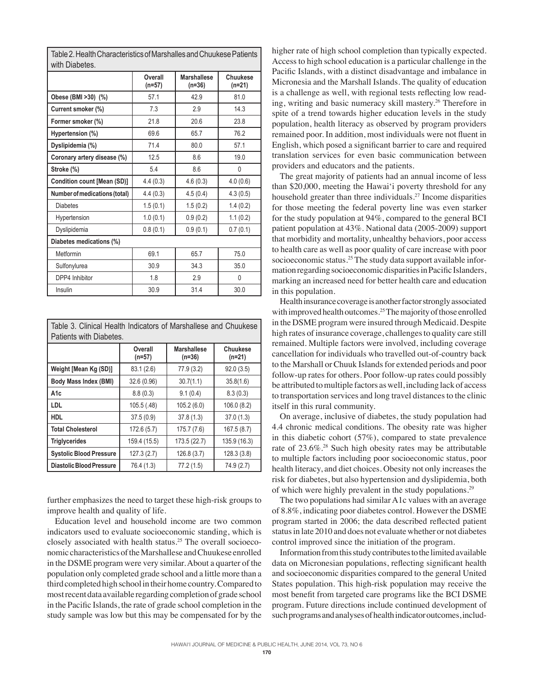| WIIII DIADELES.               |                   |                                |                      |  |  |
|-------------------------------|-------------------|--------------------------------|----------------------|--|--|
|                               | Overall<br>(n=57) | <b>Marshallese</b><br>$(n=36)$ | Chuukese<br>$(n=21)$ |  |  |
| Obese (BMI >30) (%)           | 57.1              | 42.9                           | 81.0                 |  |  |
| Current smoker (%)            | 7.3               | 2.9                            | 14.3                 |  |  |
| Former smoker (%)             | 21.8              | 20.6                           | 23.8                 |  |  |
| Hypertension (%)              | 69.6              | 65.7                           | 76.2                 |  |  |
| Dyslipidemia (%)              | 71.4              | 80.0                           | 57.1                 |  |  |
| Coronary artery disease (%)   | 12.5              | 8.6                            | 19.0                 |  |  |
| Stroke (%)                    | 5.4               | 8.6                            | 0                    |  |  |
| Condition count [Mean (SD)]   | 4.4(0.3)          | 4.6(0.3)                       | 4.0(0.6)             |  |  |
| Number of medications (total) | 4.4(0.3)          | 4.5(0.4)                       | 4.3(0.5)             |  |  |
| <b>Diabetes</b>               | 1.5(0.1)          | 1.5(0.2)                       | 1.4(0.2)             |  |  |
| Hypertension                  | 1.0(0.1)          | 0.9(0.2)                       | 1.1(0.2)             |  |  |
| Dyslipidemia                  | 0.8(0.1)          | 0.9(0.1)                       | 0.7(0.1)             |  |  |
| Diabetes medications (%)      |                   |                                |                      |  |  |
| Metformin                     | 69.1              | 65.7                           | 75.0                 |  |  |
| Sulfonylurea                  | 30.9              | 34.3                           | 35.0                 |  |  |
| DPP4 Inhibitor                | 1.8               | 2.9                            | 0                    |  |  |
| Insulin                       | 30.9              | 31.4                           | 30.0                 |  |  |

Table 2. Health Characteristics of Marshalles and Chuukese Patients with Diabetes.

Table 3. Clinical Health Indicators of Marshallese and Chuukese Patients with Diabetes.

|                                | Overall<br>$(n=57)$ | <b>Marshallese</b><br>$(n=36)$ | Chuukese<br>$(n=21)$ |
|--------------------------------|---------------------|--------------------------------|----------------------|
| Weight [Mean Kg (SD)]          | 83.1 (2.6)          | 77.9 (3.2)                     | 92.0(3.5)            |
| Body Mass Index (BMI)          | 32.6 (0.96)         | 30.7(1.1)                      | 35.8(1.6)            |
| l A1c                          | 8.8(0.3)            | 9.1(0.4)                       | 8.3(0.3)             |
| <b>LDL</b>                     | 105.5 (.48)         | 105.2(6.0)                     | 106.0(8.2)           |
| <b>HDL</b>                     | 37.5(0.9)           | 37.8(1.3)                      | 37.0(1.3)            |
| <b>Total Cholesterol</b>       | 172.6(5.7)          | 175.7 (7.6)                    | 167.5(8.7)           |
| <b>Triglycerides</b>           | 159.4 (15.5)        | 173.5 (22.7)                   | 135.9 (16.3)         |
| <b>Systolic Blood Pressure</b> | 127.3 (2.7)         | 126.8(3.7)                     | 128.3 (3.8)          |
| Diastolic Blood Pressure       | 76.4 (1.3)          | 77.2 (1.5)                     | 74.9 (2.7)           |

further emphasizes the need to target these high-risk groups to improve health and quality of life.

Education level and household income are two common indicators used to evaluate socioeconomic standing, which is closely associated with health status.25 The overall socioeconomic characteristics of the Marshallese and Chuukese enrolled in the DSME program were very similar. About a quarter of the population only completed grade school and a little more than a third completed high school in their home country. Compared to most recent data available regarding completion of grade school in the Pacific Islands, the rate of grade school completion in the study sample was low but this may be compensated for by the higher rate of high school completion than typically expected. Access to high school education is a particular challenge in the Pacific Islands, with a distinct disadvantage and imbalance in Micronesia and the Marshall Islands. The quality of education is a challenge as well, with regional tests reflecting low reading, writing and basic numeracy skill mastery.<sup>26</sup> Therefore in spite of a trend towards higher education levels in the study population, health literacy as observed by program providers remained poor. In addition, most individuals were not fluent in English, which posed a significant barrier to care and required translation services for even basic communication between providers and educators and the patients.

The great majority of patients had an annual income of less than \$20,000, meeting the Hawai'i poverty threshold for any household greater than three individuals.<sup>27</sup> Income disparities for those meeting the federal poverty line was even starker for the study population at 94%, compared to the general BCI patient population at 43%. National data (2005-2009) support that morbidity and mortality, unhealthy behaviors, poor access to health care as well as poor quality of care increase with poor socioeconomic status.<sup>25</sup> The study data support available information regarding socioeconomic disparities in Pacific Islanders, marking an increased need for better health care and education in this population.

Health insurance coverage is another factor strongly associated with improved health outcomes.<sup>25</sup> The majority of those enrolled in the DSME program were insured through Medicaid. Despite high rates of insurance coverage, challenges to quality care still remained. Multiple factors were involved, including coverage cancellation for individuals who travelled out-of-country back to the Marshall or Chuuk Islands for extended periods and poor follow-up rates for others. Poor follow-up rates could possibly be attributed to multiple factors as well, including lack of access to transportation services and long travel distances to the clinic itself in this rural community.

On average, inclusive of diabetes, the study population had 4.4 chronic medical conditions. The obesity rate was higher in this diabetic cohort (57%), compared to state prevalence rate of 23.6%.<sup>28</sup> Such high obesity rates may be attributable to multiple factors including poor socioeconomic status, poor health literacy, and diet choices. Obesity not only increases the risk for diabetes, but also hypertension and dyslipidemia, both of which were highly prevalent in the study populations.29

The two populations had similar A1c values with an average of 8.8%, indicating poor diabetes control. However the DSME program started in 2006; the data described reflected patient status in late 2010 and does not evaluate whether or not diabetes control improved since the initiation of the program.

Information from this study contributes to the limited available data on Micronesian populations, reflecting significant health and socioeconomic disparities compared to the general United States population. This high-risk population may receive the most benefit from targeted care programs like the BCI DSME program. Future directions include continued development of such programs and analyses of health indicator outcomes, includ